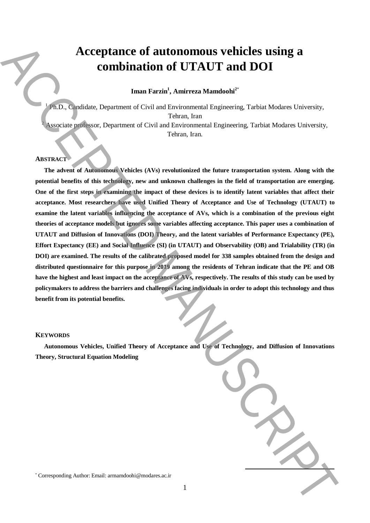# **Acceptance of autonomous vehicles using a combination of UTAUT and DOI**

**Iman Farzin<sup>1</sup> , Amirreza Mamdoohi<sup>2</sup>**\*

<sup>1</sup> Ph.D., Candidate, Department of Civil and Environmental Engineering, Tarbiat Modares University, Tehran, Iran Associate professor, Department of Civil and Environmental Engineering, Tarbiat Modares University, Tehran, Iran*.*

## **ABSTRACT**

**The advent of Autonomous Vehicles (AVs) revolutionized the future transportation system. Along with the potential benefits of this technology, new and unknown challenges in the field of transportation are emerging. One of the first steps in examining the impact of these devices is to identify latent variables that affect their acceptance. Most researchers have used Unified Theory of Acceptance and Use of Technology (UTAUT) to examine the latent variables influencing the acceptance of AVs, which is a combination of the previous eight theories of acceptance models but ignores some variables affecting acceptance. This paper uses a combination of UTAUT and Diffusion of Innovations (DOI) Theory, and the latent variables of Performance Expectancy (PE), Effort Expectancy (EE) and Social Influence (SI) (in UTAUT) and Observability (OB) and Trialability (TR) (in DOI) are examined. The results of the calibrated proposed model for 338 samples obtained from the design and distributed questionnaire for this purpose in 2019 among the residents of Tehran indicate that the PE and OB have the highest and least impact on the acceptance of AVs, respectively. The results of this study can be used by policymakers to address the barriers and challenges facing individuals in order to adopt this technology and thus benefit from its potential benefits.** Acceptance of authorition of UTAUT and DOI<br>
Immunistration of UTAUT and DOI<br>
Immunistration of Civil architective and the members of the corresponding Authorities (and the corresponding Corresponding Authorities (and the

## **KEYWORDS**

**Autonomous Vehicles, Unified Theory of Acceptance and Use of Technology, and Diffusion of Innovations Theory, Structural Equation Modeling**

**.**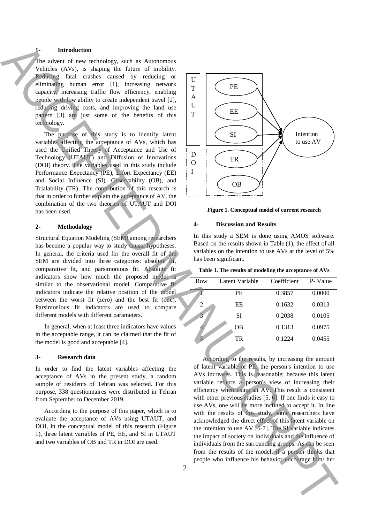## **1- Introduction**

The advent of new technology, such as Autonomous Vehicles (AVs), is shaping the future of mobility. Reducing fatal crashes caused by reducing or eliminating human error [1], increasing network capacity, increasing traffic flow efficiency, enabling people with low ability to create independent travel [2], reducing driving costs, and improving the land use pattern [3] are just some of the benefits of this technology.

The purpose of this study is to identify latent variables affecting the acceptance of AVs, which has used the Unified Theory of Acceptance and Use of Technology (UTAUT) and Diffusion of Innovations (DOI) theory. The variables used in this study include Performance Expectancy (PE), Effort Expectancy (EE) and Social Influence (SI), Observability (OB), and Trialability (TR). The contribution of this research is that in order to further explain the acceptance of AV, the combination of the two theories of UTAUT and DOI has been used.

## **2- Methodology**

Structural Equation Modeling (SEM) among researchers has become a popular way to study causal hypotheses. In general, the criteria used for the overall fit of the SEM are divided into three categories: absolute fit, comparative fit, and parsimonious fit. Absolute fit indicators show how much the proposed model is similar to the observational model. Comparative fit indicators indicate the relative position of the model between the worst fit (zero) and the best fit (one). Parsimonious fit indicators are used to compare different models with different parameters.

In general, when at least three indicators have values in the acceptable range, it can be claimed that the fit of the model is good and acceptable [4].

## **3- Research data**

In order to find the latent variables affecting the acceptance of AVs in the present study, a random sample of residents of Tehran was selected. For this purpose, 338 questionnaires were distributed in Tehran from September to December 2019.

According to the purpose of this paper, which is to evaluate the acceptance of AVs using UTAUT, and DOI, in the conceptual model of this research (Figure 1), three latent variables of PE, EE, and SI in UTAUT and two variables of OB and TR in DOI are used.



**Figure 1. Conceptual model of current research**

## **4- Discussion and Results**

In this study a SEM is done using AMOS software. Based on the results shown in Table (1), the effect of all variables on the intention to use AVs at the level of 5% has been significant.

#### **Table 1. The results of modeling the acceptance of AVs**

| Row            | Latent Variable | Coefficient | P- Value |
|----------------|-----------------|-------------|----------|
|                | PE              | 0.3857      | 0.0000   |
| $\overline{2}$ | EE              | 0.1632      | 0.0313   |
| 3              | SI              | 0.2038      | 0.0105   |
|                | <b>OB</b>       | 0.1313      | 0.0975   |
|                | TR              | 0.1224      | 0.0455   |
|                |                 |             |          |

According to the results, by increasing the amount of latent variable of PE, the person's intention to use AVs increases. This is reasonable; because this latent variable reflects a person's view of increasing their efficiency when using an AV. This result is consistent with other previous studies [5, 6]. If one finds it easy to use AVs, one will be more inclined to accept it. In line with the results of this study, some researchers have acknowledged the direct effect of this latent variable on the intention to use AV [5-7]. The SI variable indicates the impact of society on individuals and the influence of individuals from the surrounding groups. As can be seen from the results of the model, if a person thinks that people who influence his behavior encourage him/ her